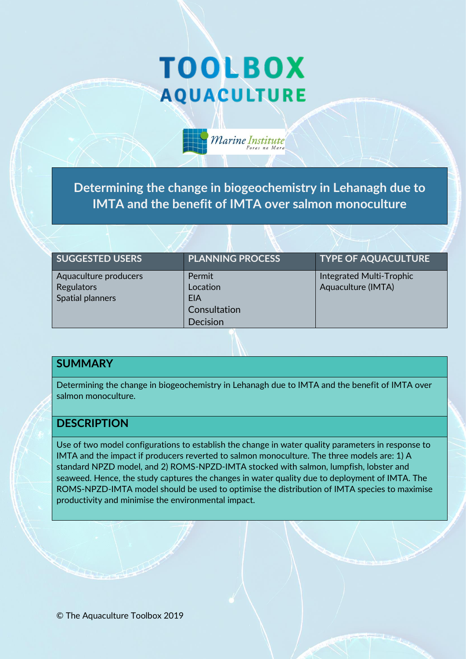# **TOOLBOX AQUACULTURE**

**Determining the change in biogeochemistry in Lehanagh due to IMTA and the benefit of IMTA over salmon monoculture** 

Marine Institute

| <b>SUGGESTED USERS</b> | <b>PLANNING PROCESS</b> | <b>TYPE OF AQUACULTURE</b> |
|------------------------|-------------------------|----------------------------|
| Aquaculture producers  | Permit                  | Integrated Multi-Trophic   |
| Regulators             | Location                | Aquaculture (IMTA)         |
| Spatial planners       | EIA                     |                            |
|                        | Consultation            |                            |
|                        | Decision                |                            |

#### **SUMMARY**

Determining the change in biogeochemistry in Lehanagh due to IMTA and the benefit of IMTA over salmon monoculture.

#### **DESCRIPTION**

Use of two model configurations to establish the change in water quality parameters in response to IMTA and the impact if producers reverted to salmon monoculture. The three models are: 1) A standard NPZD model, and 2) ROMS-NPZD-IMTA stocked with salmon, lumpfish, lobster and seaweed. Hence, the study captures the changes in water quality due to deployment of IMTA. The ROMS-NPZD-IMTA model should be used to optimise the distribution of IMTA species to maximise productivity and minimise the environmental impact.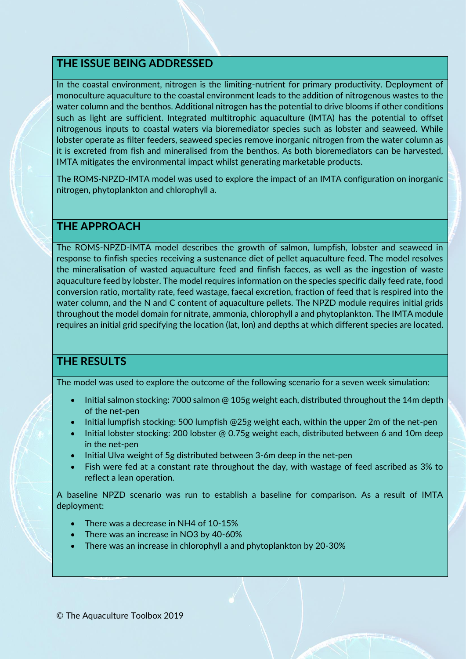## **THE ISSUE BEING ADDRESSED**

In the coastal environment, nitrogen is the limiting-nutrient for primary productivity. Deployment of monoculture aquaculture to the coastal environment leads to the addition of nitrogenous wastes to the water column and the benthos. Additional nitrogen has the potential to drive blooms if other conditions such as light are sufficient. Integrated multitrophic aquaculture (IMTA) has the potential to offset nitrogenous inputs to coastal waters via bioremediator species such as lobster and seaweed. While lobster operate as filter feeders, seaweed species remove inorganic nitrogen from the water column as it is excreted from fish and mineralised from the benthos. As both bioremediators can be harvested, IMTA mitigates the environmental impact whilst generating marketable products.

The ROMS-NPZD-IMTA model was used to explore the impact of an IMTA configuration on inorganic nitrogen, phytoplankton and chlorophyll a.

#### **THE APPROACH**

The ROMS-NPZD-IMTA model describes the growth of salmon, lumpfish, lobster and seaweed in response to finfish species receiving a sustenance diet of pellet aquaculture feed. The model resolves the mineralisation of wasted aquaculture feed and finfish faeces, as well as the ingestion of waste aquaculture feed by lobster. The model requires information on the species specific daily feed rate, food conversion ratio, mortality rate, feed wastage, faecal excretion, fraction of feed that is respired into the water column, and the N and C content of aquaculture pellets. The NPZD module requires initial grids throughout the model domain for nitrate, ammonia, chlorophyll a and phytoplankton. The IMTA module requires an initial grid specifying the location (lat, lon) and depths at which different species are located.

## **THE RESULTS**

The model was used to explore the outcome of the following scenario for a seven week simulation:

- Initial salmon stocking: 7000 salmon @ 105g weight each, distributed throughout the 14m depth of the net-pen
- Initial lumpfish stocking: 500 lumpfish @25g weight each, within the upper 2m of the net-pen
- Initial lobster stocking: 200 lobster @ 0.75g weight each, distributed between 6 and 10m deep in the net-pen
- Initial Ulva weight of 5g distributed between 3-6m deep in the net-pen
- Fish were fed at a constant rate throughout the day, with wastage of feed ascribed as 3% to reflect a lean operation.

A baseline NPZD scenario was run to establish a baseline for comparison. As a result of IMTA deployment:

- There was a decrease in NH4 of 10-15%
- There was an increase in NO3 by 40-60%
- There was an increase in chlorophyll a and phytoplankton by 20-30%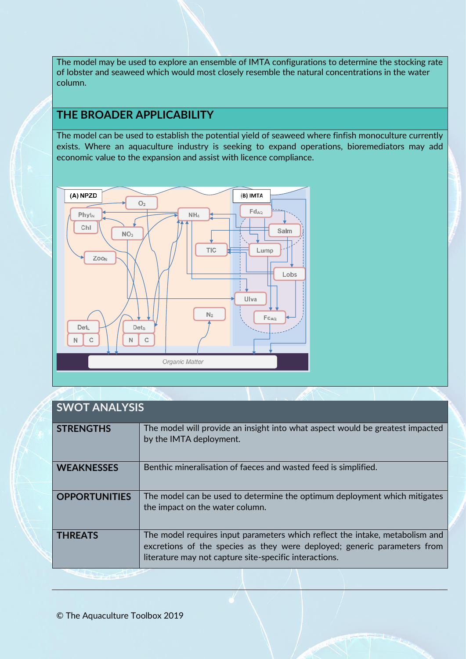The model may be used to explore an ensemble of IMTA configurations to determine the stocking rate of lobster and seaweed which would most closely resemble the natural concentrations in the water column.

## **THE BROADER APPLICABILITY**

The model can be used to establish the potential yield of seaweed where finfish monoculture currently exists. Where an aquaculture industry is seeking to expand operations, bioremediators may add economic value to the expansion and assist with licence compliance.



# **SWOT ANALYSIS**

| <b>STRENGTHS</b>     | The model will provide an insight into what aspect would be greatest impacted<br>by the IMTA deployment.                                                                                                           |
|----------------------|--------------------------------------------------------------------------------------------------------------------------------------------------------------------------------------------------------------------|
| <b>WEAKNESSES</b>    | Benthic mineralisation of faeces and wasted feed is simplified.                                                                                                                                                    |
| <b>OPPORTUNITIES</b> | The model can be used to determine the optimum deployment which mitigates<br>the impact on the water column.                                                                                                       |
| <b>THREATS</b>       | The model requires input parameters which reflect the intake, metabolism and<br>excretions of the species as they were deployed; generic parameters from<br>literature may not capture site-specific interactions. |